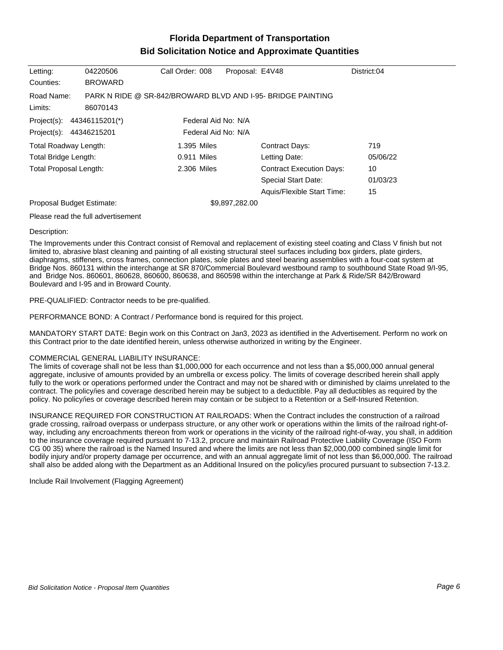# **Florida Department of Transportation Bid Solicitation Notice and Approximate Quantities**

| Letting:<br>Counties:                                                                                  | 04220506<br><b>BROWARD</b> | Call Order: 008 | Proposal: E4V48                                             | District:04 |
|--------------------------------------------------------------------------------------------------------|----------------------------|-----------------|-------------------------------------------------------------|-------------|
| Road Name:<br>Limits:                                                                                  | 86070143                   |                 | PARK N RIDE @ SR-842/BROWARD BLVD AND I-95- BRIDGE PAINTING |             |
| Federal Aid No: N/A<br>Project(s):<br>44346115201(*)<br>Federal Aid No: N/A<br>Project(s): 44346215201 |                            |                 |                                                             |             |
| Total Roadway Length:                                                                                  |                            | 1.395 Miles     | Contract Days:                                              | 719         |
| Total Bridge Length:                                                                                   |                            | 0.911 Miles     | Letting Date:                                               | 05/06/22    |
| <b>Total Proposal Length:</b>                                                                          |                            | 2.306 Miles     | <b>Contract Execution Days:</b>                             | 10          |
|                                                                                                        |                            |                 | <b>Special Start Date:</b>                                  | 01/03/23    |
|                                                                                                        |                            |                 | Aquis/Flexible Start Time:                                  | 15          |
| Proposal Budget Estimate:                                                                              |                            |                 | \$9,897,282.00                                              |             |

#### Please read the full advertisement

#### Description:

The Improvements under this Contract consist of Removal and replacement of existing steel coating and Class V finish but not limited to, abrasive blast cleaning and painting of all existing structural steel surfaces including box girders, plate girders, diaphragms, stiffeners, cross frames, connection plates, sole plates and steel bearing assemblies with a four-coat system at Bridge Nos. 860131 within the interchange at SR 870/Commercial Boulevard westbound ramp to southbound State Road 9/I-95, and Bridge Nos. 860601, 860628, 860600, 860638, and 860598 within the interchange at Park & Ride/SR 842/Broward Boulevard and I-95 and in Broward County.

## PRE-QUALIFIED: Contractor needs to be pre-qualified.

PERFORMANCE BOND: A Contract / Performance bond is required for this project.

MANDATORY START DATE: Begin work on this Contract on Jan3, 2023 as identified in the Advertisement. Perform no work on this Contract prior to the date identified herein, unless otherwise authorized in writing by the Engineer.

## COMMERCIAL GENERAL LIABILITY INSURANCE:

The limits of coverage shall not be less than \$1,000,000 for each occurrence and not less than a \$5,000,000 annual general aggregate, inclusive of amounts provided by an umbrella or excess policy. The limits of coverage described herein shall apply fully to the work or operations performed under the Contract and may not be shared with or diminished by claims unrelated to the contract. The policy/ies and coverage described herein may be subject to a deductible. Pay all deductibles as required by the policy. No policy/ies or coverage described herein may contain or be subject to a Retention or a Self-Insured Retention.

INSURANCE REQUIRED FOR CONSTRUCTION AT RAILROADS: When the Contract includes the construction of a railroad grade crossing, railroad overpass or underpass structure, or any other work or operations within the limits of the railroad right-ofway, including any encroachments thereon from work or operations in the vicinity of the railroad right-of-way, you shall, in addition to the insurance coverage required pursuant to 7-13.2, procure and maintain Railroad Protective Liability Coverage (ISO Form CG 00 35) where the railroad is the Named Insured and where the limits are not less than \$2,000,000 combined single limit for bodily injury and/or property damage per occurrence, and with an annual aggregate limit of not less than \$6,000,000. The railroad shall also be added along with the Department as an Additional Insured on the policy/ies procured pursuant to subsection 7-13.2.

Include Rail Involvement (Flagging Agreement)